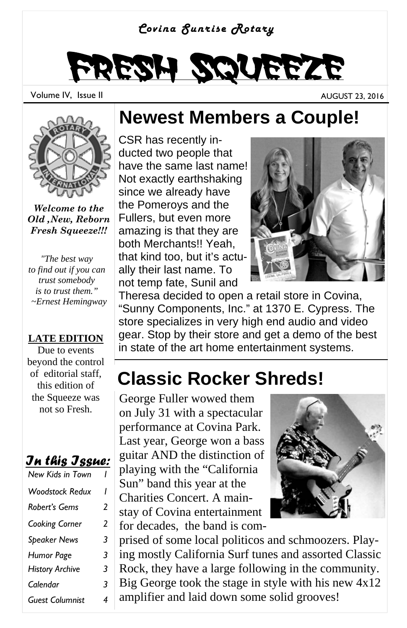

# Fresh Squeeze

Volume IV, Issue II AUGUST 23, 2016



*Welcome to the Old ,New, Reborn Fresh Squeeze!!!*

*"The best way to find out if you can trust somebody is to trust them." ~Ernest Hemingway* 

#### **LATE EDITION**

Due to events beyond the control of editorial staff, this edition of the Squeeze was not so Fresh.

#### *In this Issue:*

| New Kids in Town       |   |
|------------------------|---|
| <b>Woodstock Redux</b> | ı |
| Robert's Gems          | 2 |
| Cooking Corner         | 2 |
| <b>Speaker News</b>    | 3 |
| <b>Humor Page</b>      | 3 |
| <b>History Archive</b> | 3 |
| Calendar               | 3 |
| <b>Guest Columnist</b> | 4 |

#### **Newest Members a Couple!**

CSR has recently inducted two people that have the same last name! Not exactly earthshaking since we already have the Pomeroys and the Fullers, but even more amazing is that they are both Merchants!! Yeah, that kind too, but it's actually their last name. To not temp fate, Sunil and



Theresa decided to open a retail store in Covina, "Sunny Components, Inc." at 1370 E. Cypress. The store specializes in very high end audio and video gear. Stop by their store and get a demo of the best in state of the art home entertainment systems.

## **Classic Rocker Shreds!**

George Fuller wowed them on July 31 with a spectacular performance at Covina Park. Last year, George won a bass guitar AND the distinction of playing with the "California Sun" band this year at the Charities Concert. A mainstay of Covina entertainment for decades, the band is com-



prised of some local politicos and schmoozers. Playing mostly California Surf tunes and assorted Classic Rock, they have a large following in the community. Big George took the stage in style with his new 4x12 amplifier and laid down some solid grooves!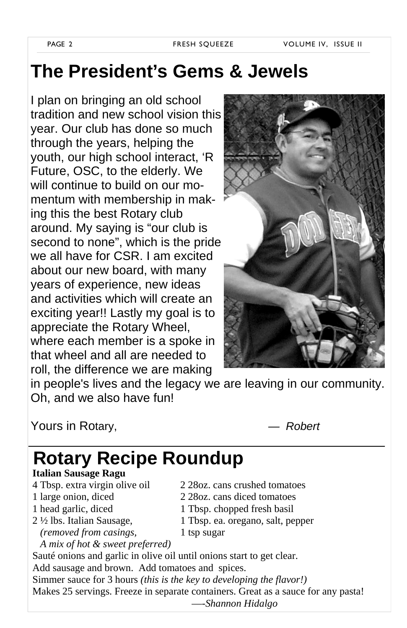### **The President's Gems & Jewels**

I plan on bringing an old school tradition and new school vision this year. Our club has done so much through the years, helping the youth, our high school interact, 'R Future, OSC, to the elderly. We will continue to build on our momentum with membership in making this the best Rotary club around. My saying is "our club is second to none", which is the pride we all have for CSR. I am excited about our new board, with many years of experience, new ideas and activities which will create an exciting year!! Lastly my goal is to appreciate the Rotary Wheel, where each member is a spoke in that wheel and all are needed to roll, the difference we are making



in people's lives and the legacy we are leaving in our community. Oh, and we also have fun!

Yours in Rotary, *— Robert* 

### **Rotary Recipe Roundup**

**Italian Sausage Ragu**

- 
- 
- 
- 
- 4 Tbsp. extra virgin olive oil 2 28oz. cans crushed tomatoes
- 1 large onion, diced 2 28oz. cans diced tomatoes
- 1 head garlic, diced 1 Tbsp. chopped fresh basil
- 2 ½ lbs. Italian Sausage, 1 Tbsp. ea. oregano, salt, pepper
	- *(removed from casings,* 1 tsp sugar

 *A mix of hot & sweet preferred)*  Sauté onions and garlic in olive oil until onions start to get clear. Add sausage and brown. Add tomatoes and spices. Simmer sauce for 3 hours *(this is the key to developing the flavor!)* Makes 25 servings. Freeze in separate containers. Great as a sauce for any pasta! —-*Shannon Hidalgo*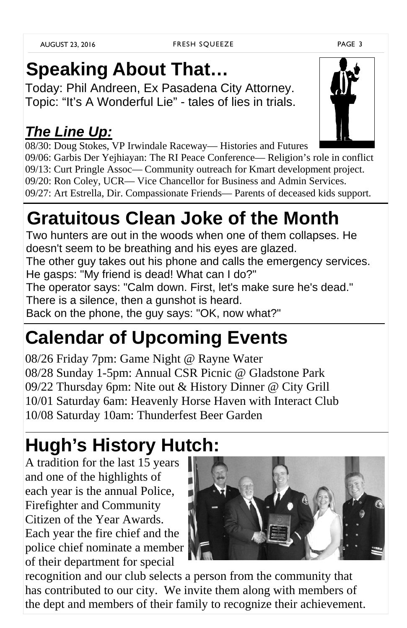# **Speaking About That…**

Today: Phil Andreen, Ex Pasadena City Attorney. Topic: "It's A Wonderful Lie" - tales of lies in trials.

#### *The Line Up:*

08/30: Doug Stokes, VP Irwindale Raceway— Histories and Futures 09/06: Garbis Der Yejhiayan: The RI Peace Conference— Religion's role in conflict 09/13: Curt Pringle Assoc— Community outreach for Kmart development project. 09/20: Ron Coley, UCR— Vice Chancellor for Business and Admin Services. 09/27: Art Estrella, Dir. Compassionate Friends— Parents of deceased kids support.

# **Gratuitous Clean Joke of the Month**

Two hunters are out in the woods when one of them collapses. He doesn't seem to be breathing and his eyes are glazed.

The other guy takes out his phone and calls the emergency services. He gasps: "My friend is dead! What can I do?"

The operator says: "Calm down. First, let's make sure he's dead." There is a silence, then a gunshot is heard.

Back on the phone, the guy says: "OK, now what?"

# **Calendar of Upcoming Events**

08/26 Friday 7pm: Game Night @ Rayne Water 08/28 Sunday 1-5pm: Annual CSR Picnic @ Gladstone Park 09/22 Thursday 6pm: Nite out & History Dinner @ City Grill 10/01 Saturday 6am: Heavenly Horse Haven with Interact Club 10/08 Saturday 10am: Thunderfest Beer Garden

# **Hugh's History Hutch:**

A tradition for the last 15 years and one of the highlights of each year is the annual Police, Firefighter and Community Citizen of the Year Awards. Each year the fire chief and the police chief nominate a member of their department for special

recognition and our club selects a person from the community that

has contributed to our city. We invite them along with members of the dept and members of their family to recognize their achievement.